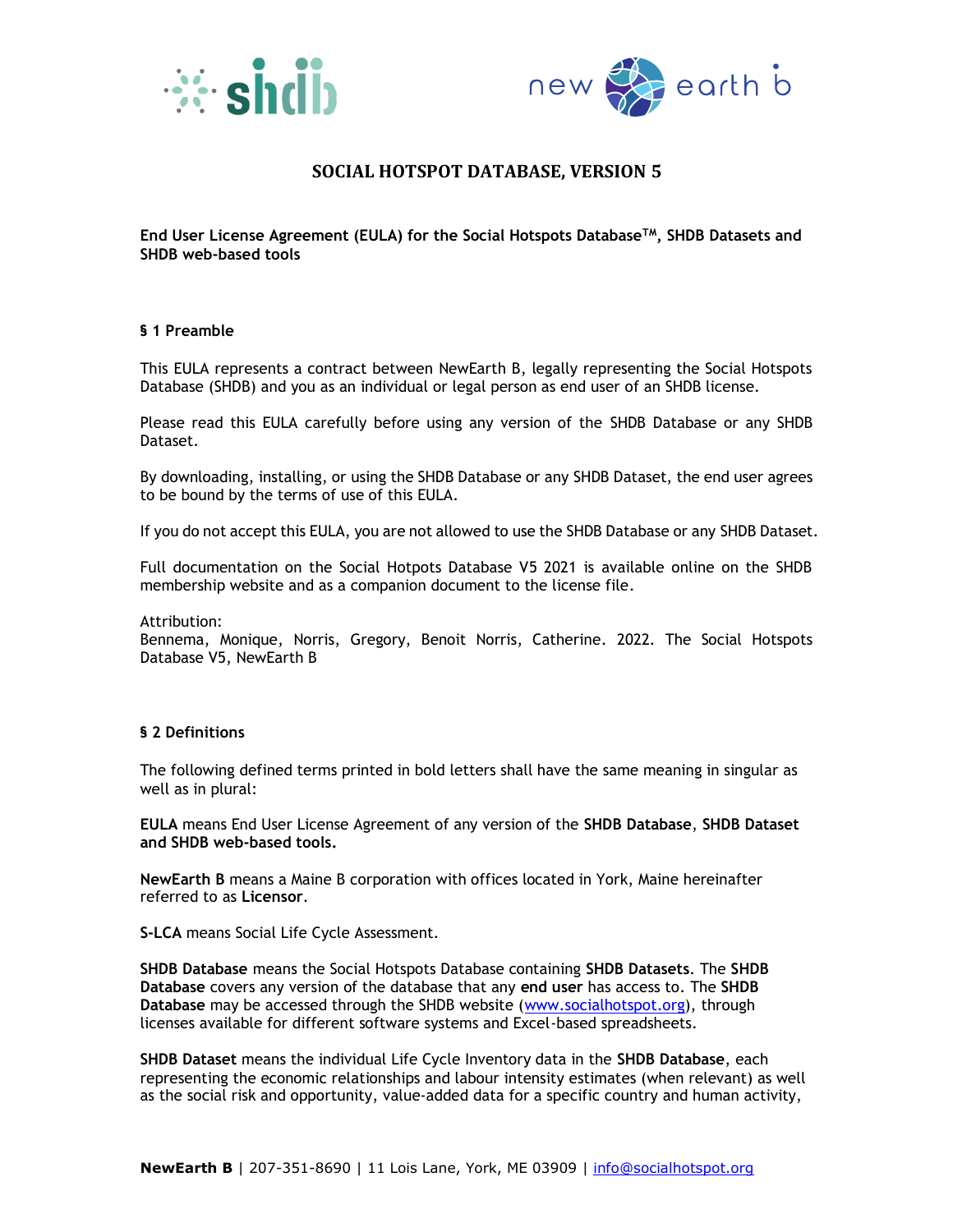



**End User License Agreement (EULA) for the Social Hotspots DatabaseTM, SHDB Datasets and SHDB web-based tools**

#### **§ 1 Preamble**

This EULA represents a contract between NewEarth B, legally representing the Social Hotspots Database (SHDB) and you as an individual or legal person as end user of an SHDB license.

Please read this EULA carefully before using any version of the SHDB Database or any SHDB Dataset.

By downloading, installing, or using the SHDB Database or any SHDB Dataset, the end user agrees to be bound by the terms of use of this EULA.

If you do not accept this EULA, you are not allowed to use the SHDB Database or any SHDB Dataset.

Full documentation on the Social Hotpots Database V5 2021 is available online on the SHDB membership website and as a companion document to the license file.

Attribution:

Bennema, Monique, Norris, Gregory, Benoit Norris, Catherine. 2022. The Social Hotspots Database V5, NewEarth B

#### **§ 2 Definitions**

The following defined terms printed in bold letters shall have the same meaning in singular as well as in plural:

**EULA** means End User License Agreement of any version of the **SHDB Database**, **SHDB Dataset and SHDB web-based tools.**

**NewEarth B** means a Maine B corporation with offices located in York, Maine hereinafter referred to as **Licensor**.

**S-LCA** means Social Life Cycle Assessment.

**SHDB Database** means the Social Hotspots Database containing **SHDB Datasets**. The **SHDB Database** covers any version of the database that any **end user** has access to. The **SHDB Database** may be accessed through the SHDB website [\(www.socialhotspot.org\)](http://www.socialhotspot.org/), through licenses available for different software systems and Excel-based spreadsheets.

**SHDB Dataset** means the individual Life Cycle Inventory data in the **SHDB Database**, each representing the economic relationships and labour intensity estimates (when relevant) as well as the social risk and opportunity, value-added data for a specific country and human activity,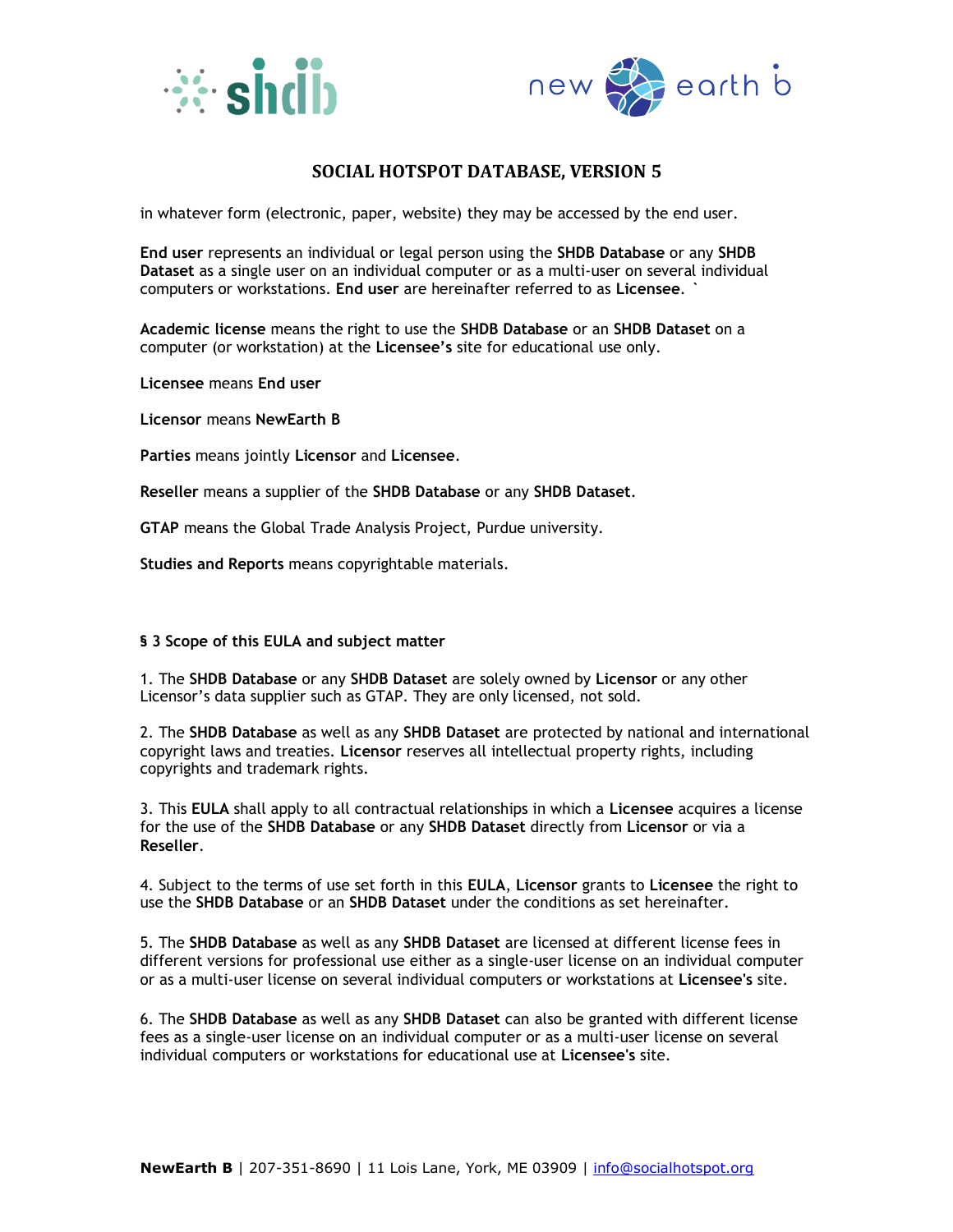



in whatever form (electronic, paper, website) they may be accessed by the end user.

**End user** represents an individual or legal person using the **SHDB Database** or any **SHDB Dataset** as a single user on an individual computer or as a multi-user on several individual computers or workstations. **End user** are hereinafter referred to as **Licensee**. **`**

**Academic license** means the right to use the **SHDB Database** or an **SHDB Dataset** on a computer (or workstation) at the **Licensee's** site for educational use only.

**Licensee** means **End user**

**Licensor** means **NewEarth B**

**Parties** means jointly **Licensor** and **Licensee**.

**Reseller** means a supplier of the **SHDB Database** or any **SHDB Dataset**.

**GTAP** means the Global Trade Analysis Project, Purdue university.

**Studies and Reports** means copyrightable materials.

### **§ 3 Scope of this EULA and subject matter**

1. The **SHDB Database** or any **SHDB Dataset** are solely owned by **Licensor** or any other Licensor's data supplier such as GTAP. They are only licensed, not sold.

2. The **SHDB Database** as well as any **SHDB Dataset** are protected by national and international copyright laws and treaties. **Licensor** reserves all intellectual property rights, including copyrights and trademark rights.

3. This **EULA** shall apply to all contractual relationships in which a **Licensee** acquires a license for the use of the **SHDB Database** or any **SHDB Dataset** directly from **Licensor** or via a **Reseller**.

4. Subject to the terms of use set forth in this **EULA**, **Licensor** grants to **Licensee** the right to use the **SHDB Database** or an **SHDB Dataset** under the conditions as set hereinafter.

5. The **SHDB Database** as well as any **SHDB Dataset** are licensed at different license fees in different versions for professional use either as a single-user license on an individual computer or as a multi-user license on several individual computers or workstations at **Licensee's** site.

6. The **SHDB Database** as well as any **SHDB Dataset** can also be granted with different license fees as a single-user license on an individual computer or as a multi-user license on several individual computers or workstations for educational use at **Licensee's** site.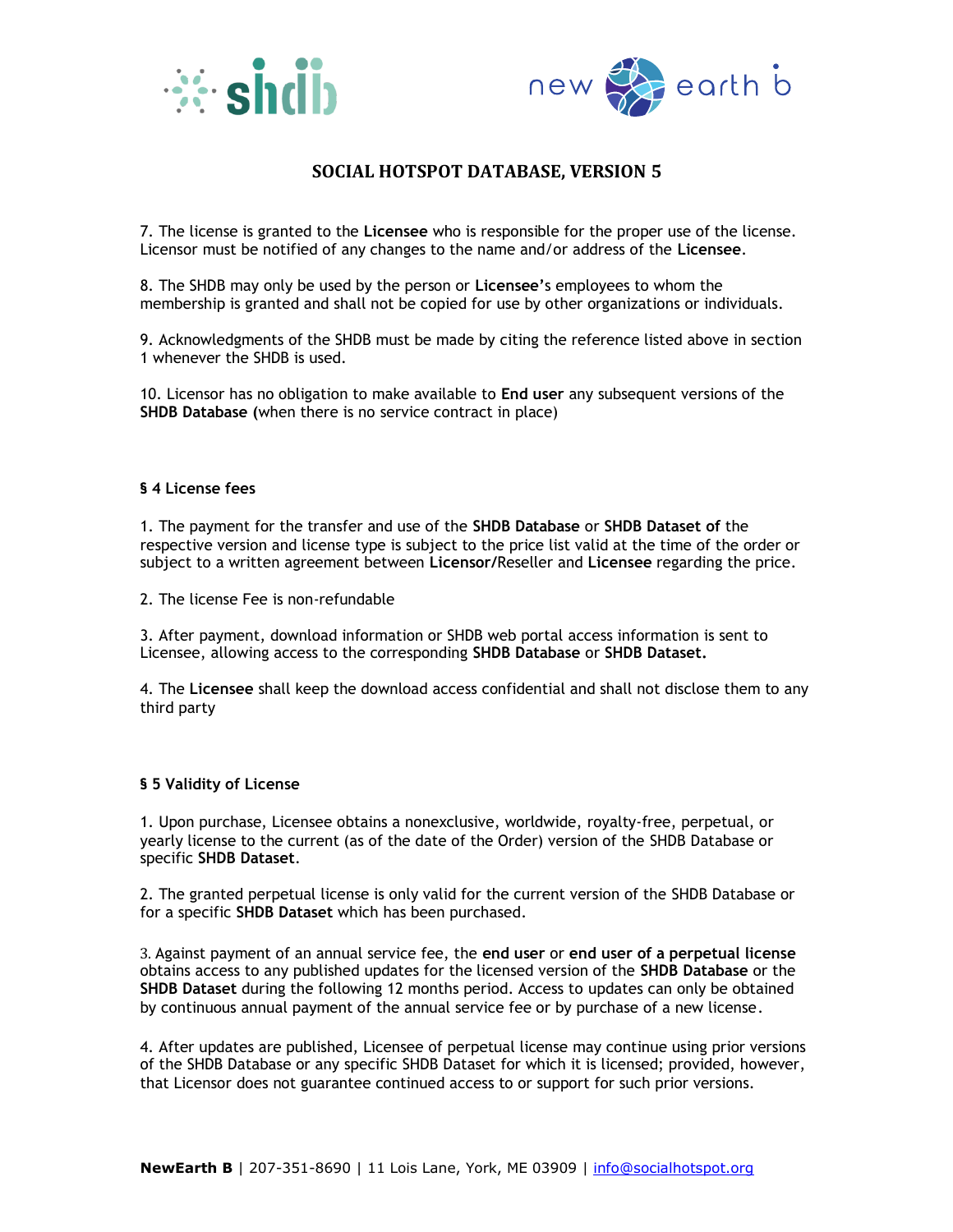



7. The license is granted to the **Licensee** who is responsible for the proper use of the license. Licensor must be notified of any changes to the name and/or address of the **Licensee**.

8. The SHDB may only be used by the person or **Licensee'**s employees to whom the membership is granted and shall not be copied for use by other organizations or individuals.

9. Acknowledgments of the SHDB must be made by citing the reference listed above in section 1 whenever the SHDB is used.

10. Licensor has no obligation to make available to **End user** any subsequent versions of the **SHDB Database (**when there is no service contract in place)

#### **§ 4 License fees**

1. The payment for the transfer and use of the **SHDB Database** or **SHDB Dataset of** the respective version and license type is subject to the price list valid at the time of the order or subject to a written agreement between **Licensor/**Reseller and **Licensee** regarding the price.

2. The license Fee is non-refundable

3. After payment, download information or SHDB web portal access information is sent to Licensee, allowing access to the corresponding **SHDB Database** or **SHDB Dataset.**

4. The **Licensee** shall keep the download access confidential and shall not disclose them to any third party

#### **§ 5 Validity of License**

1. Upon purchase, Licensee obtains a nonexclusive, worldwide, royalty-free, perpetual, or yearly license to the current (as of the date of the Order) version of the SHDB Database or specific **SHDB Dataset**.

2. The granted perpetual license is only valid for the current version of the SHDB Database or for a specific **SHDB Dataset** which has been purchased.

3. Against payment of an annual service fee, the **end user** or **end user of a perpetual license**  obtains access to any published updates for the licensed version of the **SHDB Database** or the **SHDB Dataset** during the following 12 months period. Access to updates can only be obtained by continuous annual payment of the annual service fee or by purchase of a new license.

4. After updates are published, Licensee of perpetual license may continue using prior versions of the SHDB Database or any specific SHDB Dataset for which it is licensed; provided, however, that Licensor does not guarantee continued access to or support for such prior versions.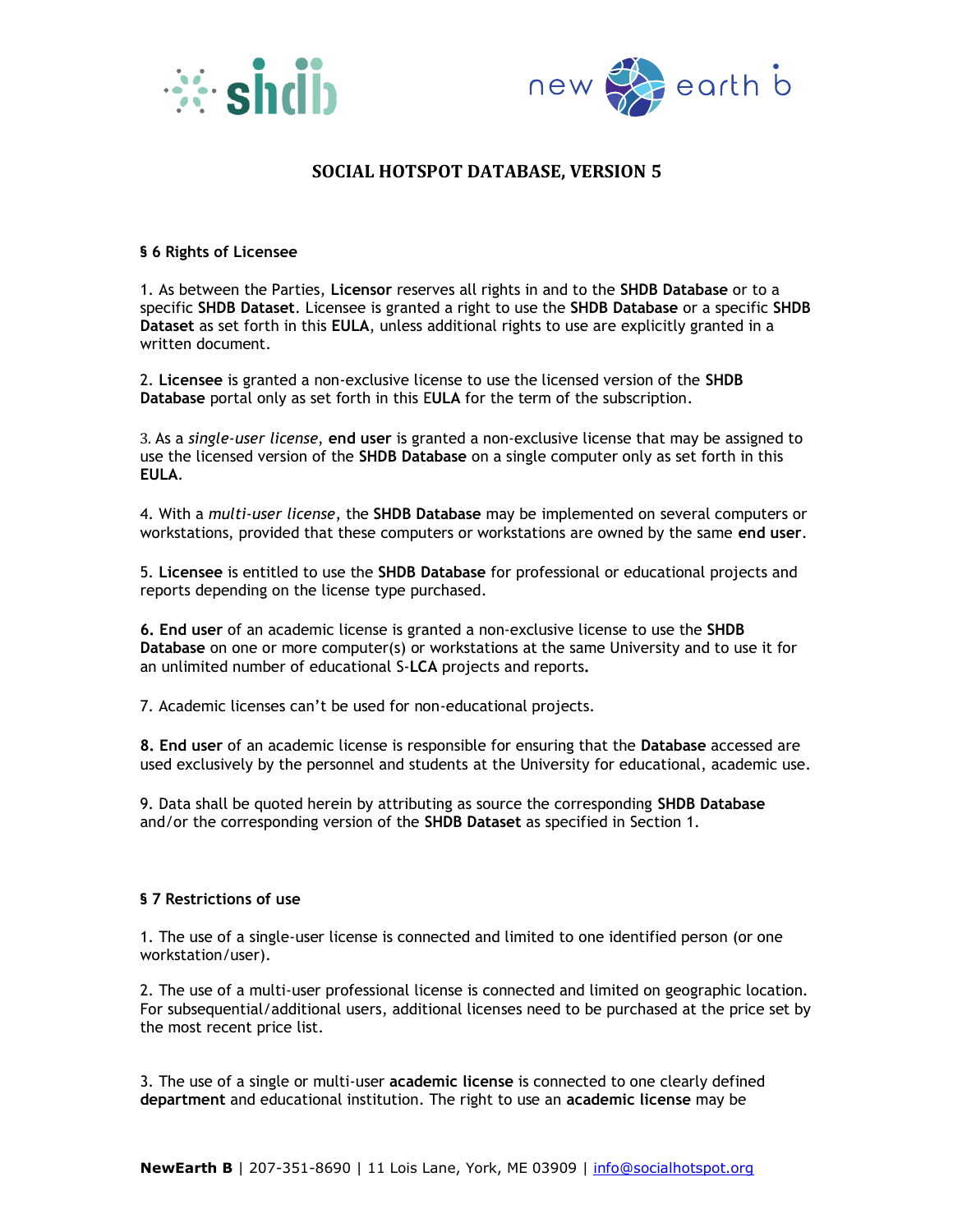



### **§ 6 Rights of Licensee**

1. As between the Parties, **Licensor** reserves all rights in and to the **SHDB Database** or to a specific **SHDB Dataset**. Licensee is granted a right to use the **SHDB Database** or a specific **SHDB Dataset** as set forth in this **EULA**, unless additional rights to use are explicitly granted in a written document.

2. **Licensee** is granted a non-exclusive license to use the licensed version of the **SHDB Database** portal only as set forth in this E**ULA** for the term of the subscription.

3. As a *single-user license*, **end user** is granted a non-exclusive license that may be assigned to use the licensed version of the **SHDB Database** on a single computer only as set forth in this **EULA**.

4. With a *multi-user license*, the **SHDB Database** may be implemented on several computers or workstations, provided that these computers or workstations are owned by the same **end user**.

5. **Licensee** is entitled to use the **SHDB Database** for professional or educational projects and reports depending on the license type purchased.

**6. End user** of an academic license is granted a non-exclusive license to use the **SHDB Database** on one or more computer(s) or workstations at the same University and to use it for an unlimited number of educational S-**LCA** projects and reports**.** 

7. Academic licenses can't be used for non-educational projects.

**8. End user** of an academic license is responsible for ensuring that the **Database** accessed are used exclusively by the personnel and students at the University for educational, academic use.

9. Data shall be quoted herein by attributing as source the corresponding **SHDB Database** and/or the corresponding version of the **SHDB Dataset** as specified in Section 1.

### **§ 7 Restrictions of use**

1. The use of a single-user license is connected and limited to one identified person (or one workstation/user).

2. The use of a multi-user professional license is connected and limited on geographic location. For subsequential/additional users, additional licenses need to be purchased at the price set by the most recent price list.

3. The use of a single or multi-user **academic license** is connected to one clearly defined **department** and educational institution. The right to use an **academic license** may be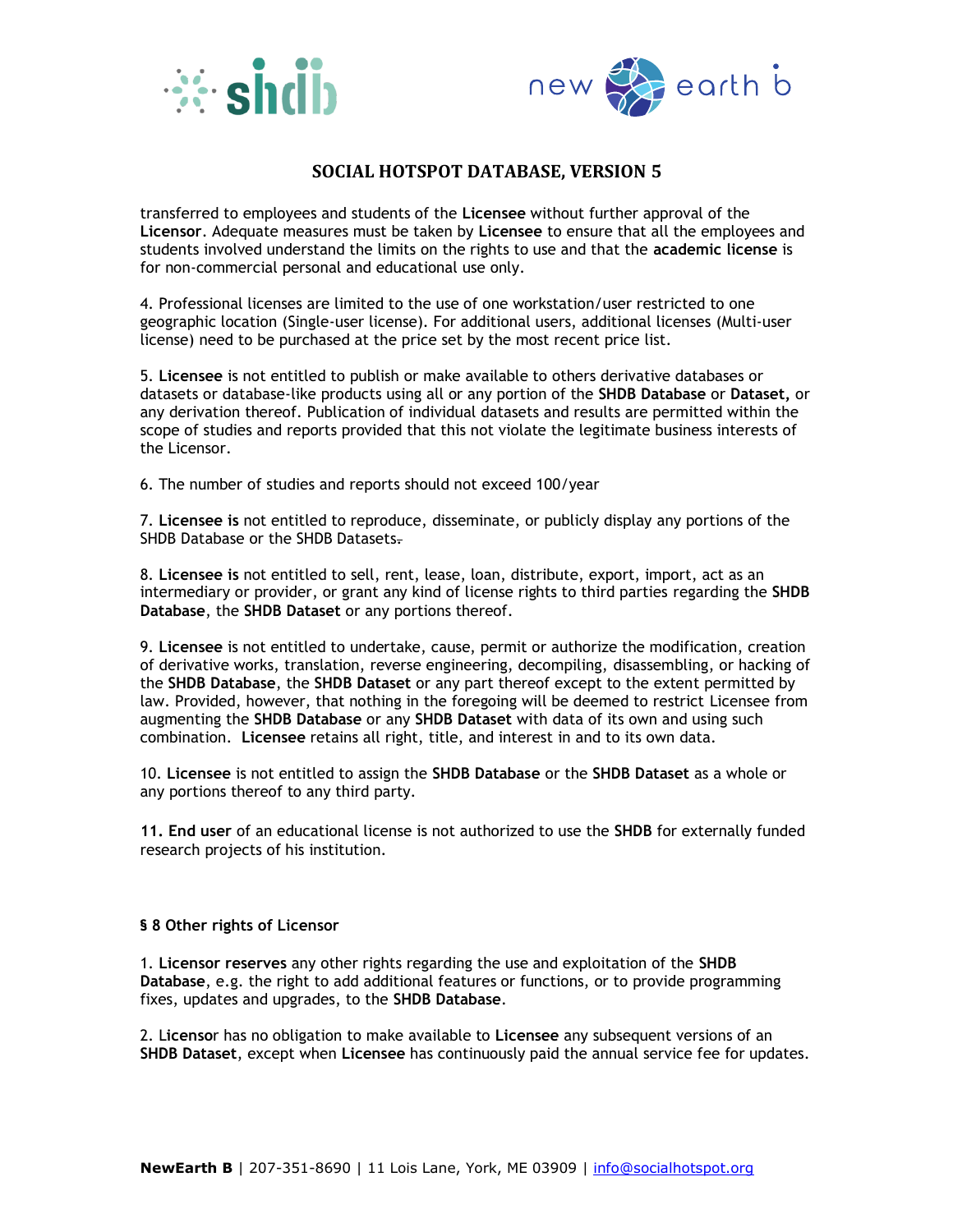



transferred to employees and students of the **Licensee** without further approval of the **Licensor**. Adequate measures must be taken by **Licensee** to ensure that all the employees and students involved understand the limits on the rights to use and that the **academic license** is for non-commercial personal and educational use only.

4. Professional licenses are limited to the use of one workstation/user restricted to one geographic location (Single-user license). For additional users, additional licenses (Multi-user license) need to be purchased at the price set by the most recent price list.

5. **Licensee** is not entitled to publish or make available to others derivative databases or datasets or database-like products using all or any portion of the **SHDB Database** or **Dataset,** or any derivation thereof. Publication of individual datasets and results are permitted within the scope of studies and reports provided that this not violate the legitimate business interests of the Licensor.

6. The number of studies and reports should not exceed 100/year

7. **Licensee is** not entitled to reproduce, disseminate, or publicly display any portions of the SHDB Database or the SHDB Datasets.

8. **Licensee is** not entitled to sell, rent, lease, loan, distribute, export, import, act as an intermediary or provider, or grant any kind of license rights to third parties regarding the **SHDB Database**, the **SHDB Dataset** or any portions thereof.

9. **Licensee** is not entitled to undertake, cause, permit or authorize the modification, creation of derivative works, translation, reverse engineering, decompiling, disassembling, or hacking of the **SHDB Database**, the **SHDB Dataset** or any part thereof except to the extent permitted by law. Provided, however, that nothing in the foregoing will be deemed to restrict Licensee from augmenting the **SHDB Database** or any **SHDB Dataset** with data of its own and using such combination. **Licensee** retains all right, title, and interest in and to its own data.

10. **Licensee** is not entitled to assign the **SHDB Database** or the **SHDB Dataset** as a whole or any portions thereof to any third party.

**11. End user** of an educational license is not authorized to use the **SHDB** for externally funded research projects of his institution.

#### **§ 8 Other rights of Licensor**

1. **Licensor reserves** any other rights regarding the use and exploitation of the **SHDB Database**, e.g. the right to add additional features or functions, or to provide programming fixes, updates and upgrades, to the **SHDB Database**.

2. L**icenso**r has no obligation to make available to **Licensee** any subsequent versions of an **SHDB Dataset**, except when **Licensee** has continuously paid the annual service fee for updates.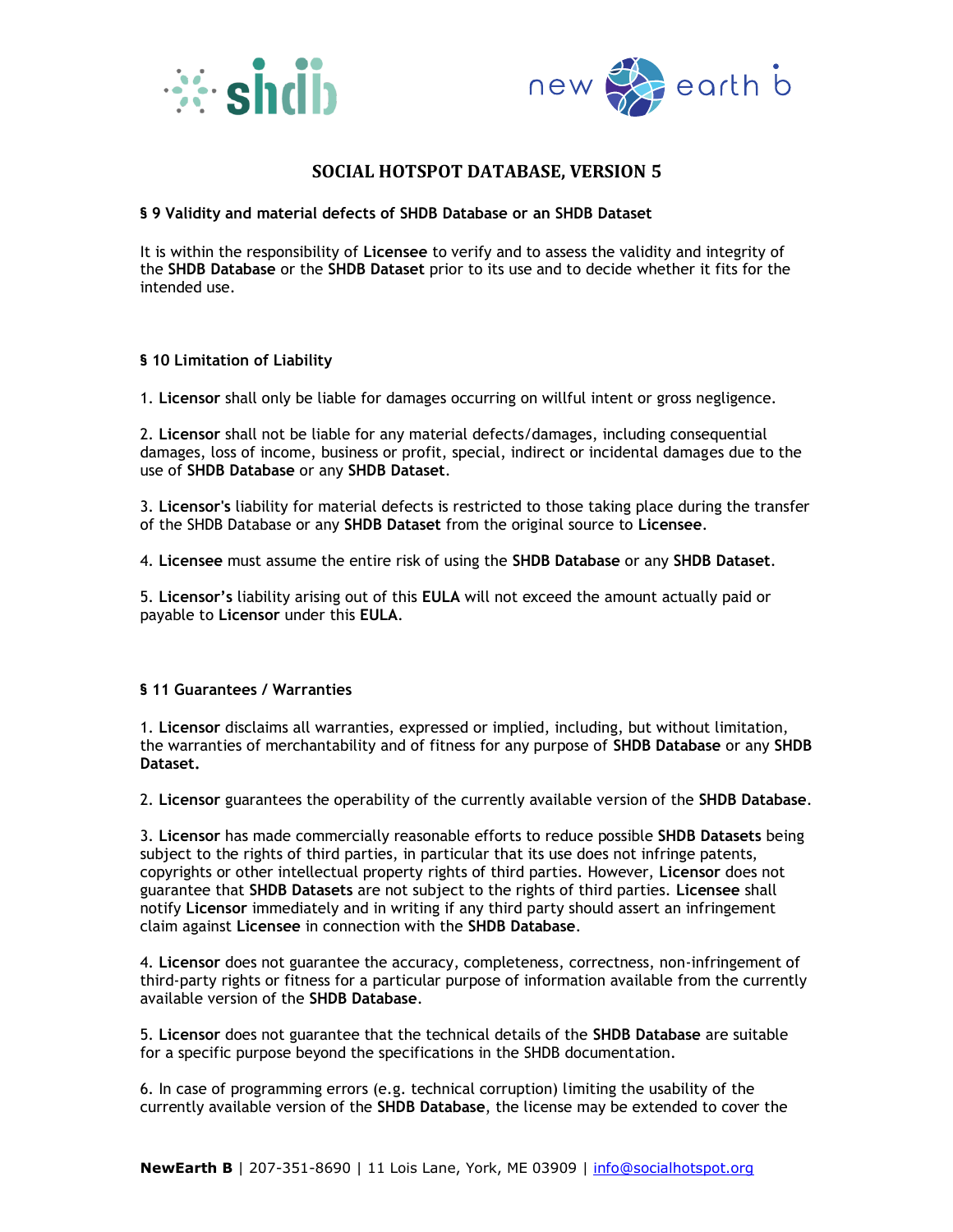



### **§ 9 Validity and material defects of SHDB Database or an SHDB Dataset**

It is within the responsibility of **Licensee** to verify and to assess the validity and integrity of the **SHDB Database** or the **SHDB Dataset** prior to its use and to decide whether it fits for the intended use.

### **§ 10 Limitation of Liability**

1. **Licensor** shall only be liable for damages occurring on willful intent or gross negligence.

2. **Licensor** shall not be liable for any material defects/damages, including consequential damages, loss of income, business or profit, special, indirect or incidental damages due to the use of **SHDB Database** or any **SHDB Dataset**.

3. **Licensor's** liability for material defects is restricted to those taking place during the transfer of the SHDB Database or any **SHDB Dataset** from the original source to **Licensee**.

4. **Licensee** must assume the entire risk of using the **SHDB Database** or any **SHDB Dataset**.

5. **Licensor's** liability arising out of this **EULA** will not exceed the amount actually paid or payable to **Licensor** under this **EULA**.

### **§ 11 Guarantees / Warranties**

1. **Licensor** disclaims all warranties, expressed or implied, including, but without limitation, the warranties of merchantability and of fitness for any purpose of **SHDB Database** or any **SHDB Dataset.**

2. **Licensor** guarantees the operability of the currently available version of the **SHDB Database**.

3. **Licensor** has made commercially reasonable efforts to reduce possible **SHDB Datasets** being subject to the rights of third parties, in particular that its use does not infringe patents, copyrights or other intellectual property rights of third parties. However, **Licensor** does not guarantee that **SHDB Datasets** are not subject to the rights of third parties. **Licensee** shall notify **Licensor** immediately and in writing if any third party should assert an infringement claim against **Licensee** in connection with the **SHDB Database**.

4. **Licensor** does not guarantee the accuracy, completeness, correctness, non-infringement of third-party rights or fitness for a particular purpose of information available from the currently available version of the **SHDB Database**.

5. **Licensor** does not guarantee that the technical details of the **SHDB Database** are suitable for a specific purpose beyond the specifications in the SHDB documentation.

6. In case of programming errors (e.g. technical corruption) limiting the usability of the currently available version of the **SHDB Database**, the license may be extended to cover the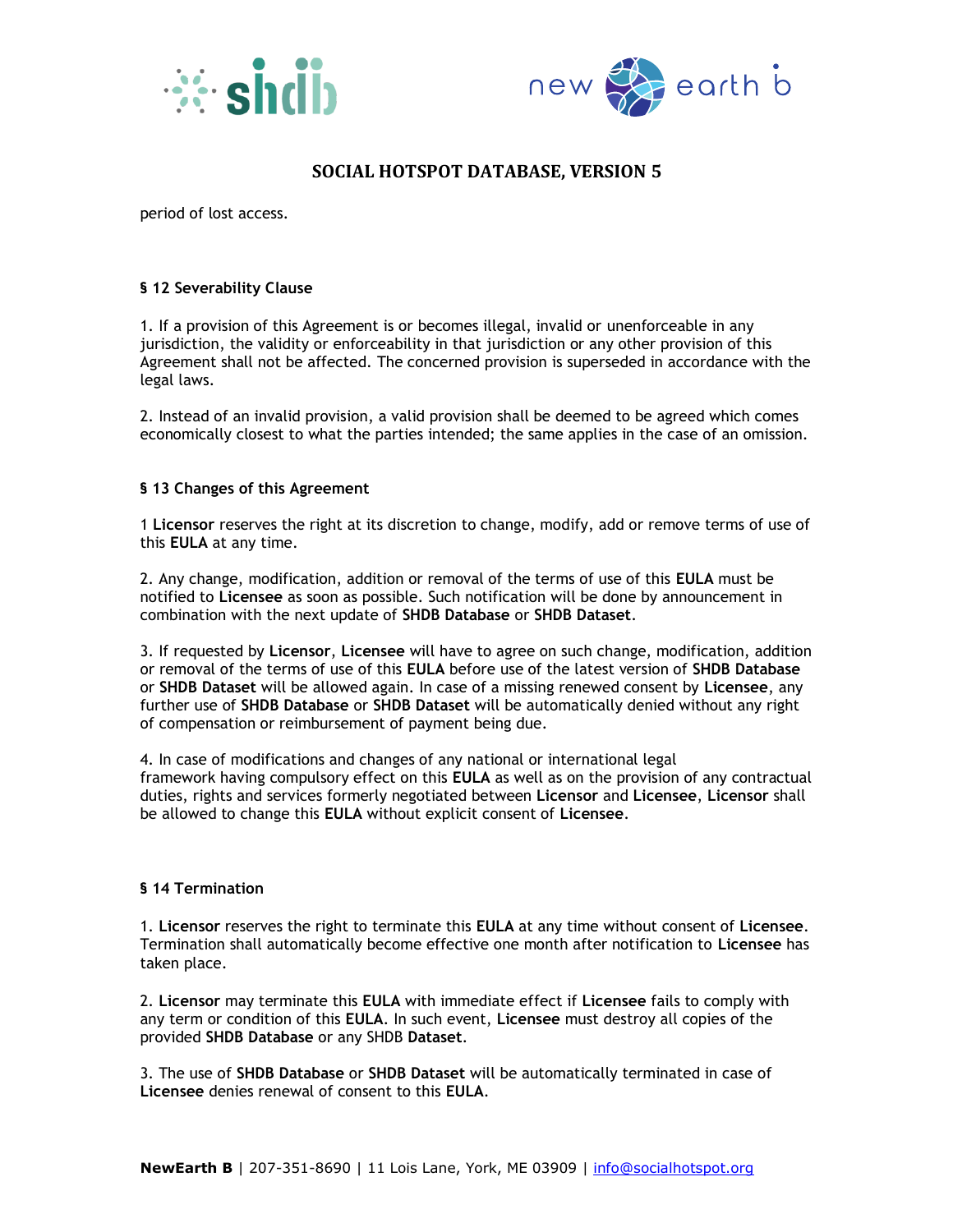



period of lost access.

## **§ 12 Severability Clause**

1. If a provision of this Agreement is or becomes illegal, invalid or unenforceable in any jurisdiction, the validity or enforceability in that jurisdiction or any other provision of this Agreement shall not be affected. The concerned provision is superseded in accordance with the legal laws.

2. Instead of an invalid provision, a valid provision shall be deemed to be agreed which comes economically closest to what the parties intended; the same applies in the case of an omission.

## **§ 13 Changes of this Agreement**

1 **Licensor** reserves the right at its discretion to change, modify, add or remove terms of use of this **EULA** at any time.

2. Any change, modification, addition or removal of the terms of use of this **EULA** must be notified to **Licensee** as soon as possible. Such notification will be done by announcement in combination with the next update of **SHDB Database** or **SHDB Dataset**.

3. If requested by **Licensor**, **Licensee** will have to agree on such change, modification, addition or removal of the terms of use of this **EULA** before use of the latest version of **SHDB Database** or **SHDB Dataset** will be allowed again. In case of a missing renewed consent by **Licensee**, any further use of **SHDB Database** or **SHDB Dataset** will be automatically denied without any right of compensation or reimbursement of payment being due.

4. In case of modifications and changes of any national or international legal framework having compulsory effect on this **EULA** as well as on the provision of any contractual duties, rights and services formerly negotiated between **Licensor** and **Licensee**, **Licensor** shall be allowed to change this **EULA** without explicit consent of **Licensee**.

### **§ 14 Termination**

1. **Licensor** reserves the right to terminate this **EULA** at any time without consent of **Licensee**. Termination shall automatically become effective one month after notification to **Licensee** has taken place.

2. **Licensor** may terminate this **EULA** with immediate effect if **Licensee** fails to comply with any term or condition of this **EULA**. In such event, **Licensee** must destroy all copies of the provided **SHDB Database** or any SHDB **Dataset**.

3. The use of **SHDB Database** or **SHDB Dataset** will be automatically terminated in case of **Licensee** denies renewal of consent to this **EULA**.